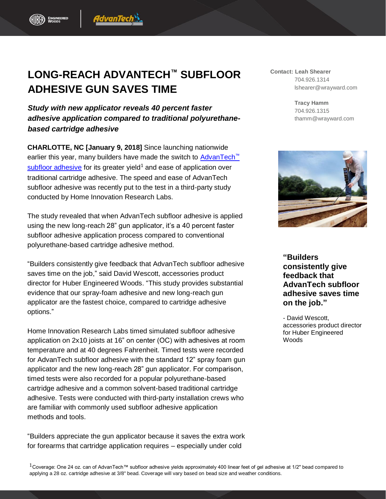## **LONG-REACH ADVANTECH™ SUBFLOOR ADHESIVE GUN SAVES TIME**

1dvanTech

*Study with new applicator reveals 40 percent faster adhesive application compared to traditional polyurethanebased cartridge adhesive*

**CHARLOTTE, NC [January 9, 2018]** Since launching nationwide earlier this year, many builders have made the switch to [AdvanTech](http://www.huberwood.com/advantech/advantech-subfloor-adhesive)<sup>™</sup> [subfloor adhesive](http://www.huberwood.com/advantech/advantech-subfloor-adhesive) for its greater yield<sup>1</sup> and ease of application over traditional cartridge adhesive. The speed and ease of AdvanTech subfloor adhesive was recently put to the test in a third-party study conducted by Home Innovation Research Labs.

The study revealed that when AdvanTech subfloor adhesive is applied using the new long-reach 28" gun applicator, it's a 40 percent faster subfloor adhesive application process compared to conventional polyurethane-based cartridge adhesive method.

"Builders consistently give feedback that AdvanTech subfloor adhesive saves time on the job," said David Wescott, accessories product director for Huber Engineered Woods. "This study provides substantial evidence that our spray-foam adhesive and new long-reach gun applicator are the fastest choice, compared to cartridge adhesive options."

Home Innovation Research Labs timed simulated subfloor adhesive application on 2x10 joists at 16" on center (OC) with adhesives at room temperature and at 40 degrees Fahrenheit. Timed tests were recorded for AdvanTech subfloor adhesive with the standard 12" spray foam gun applicator and the new long-reach 28" gun applicator. For comparison, timed tests were also recorded for a popular polyurethane-based cartridge adhesive and a common solvent-based traditional cartridge adhesive. Tests were conducted with third-party installation crews who are familiar with commonly used subfloor adhesive application methods and tools.

"Builders appreciate the gun applicator because it saves the extra work for forearms that cartridge application requires – especially under cold

**Contact: Leah Shearer** 704.926.1314 lshearer@wrayward.com

> **Tracy Hamm** 704.926.1315 thamm@wrayward.com



**"Builders consistently give feedback that AdvanTech subfloor adhesive saves time on the job."**

- David Wescott, accessories product director for Huber Engineered **Woods**